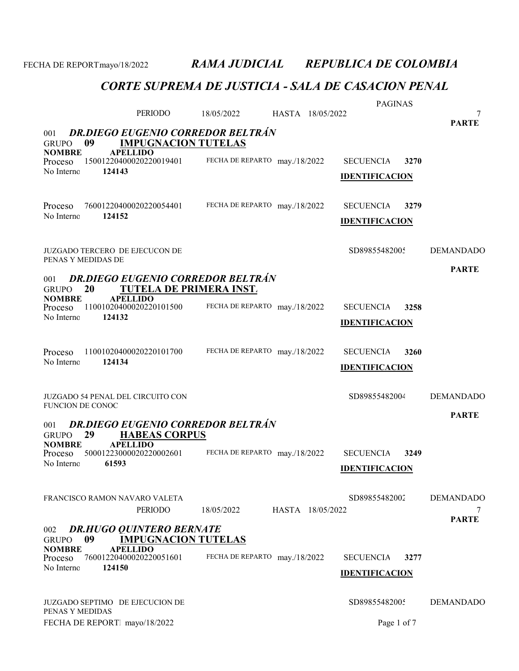|                                     |                                                                            |                               |                  | <b>PAGINAS</b>        |      |                   |
|-------------------------------------|----------------------------------------------------------------------------|-------------------------------|------------------|-----------------------|------|-------------------|
|                                     | PERIODO                                                                    | 18/05/2022                    | HASTA 18/05/2022 |                       |      | 7<br><b>PARTE</b> |
| 001                                 | <b>DR.DIEGO EUGENIO CORREDOR BELTRÁN</b>                                   |                               |                  |                       |      |                   |
| 09<br><b>GRUPO</b>                  | <b>IMPUGNACION TUTELAS</b>                                                 |                               |                  |                       |      |                   |
| <b>NOMBRE</b><br>Proceso            | <b>APELLIDO</b><br>15001220400020220019401                                 | FECHA DE REPARTO may./18/2022 |                  | <b>SECUENCIA</b>      | 3270 |                   |
| No Interno                          | 124143                                                                     |                               |                  | <b>IDENTIFICACION</b> |      |                   |
|                                     |                                                                            |                               |                  |                       |      |                   |
| Proceso                             | 76001220400020220054401                                                    | FECHA DE REPARTO may./18/2022 |                  | <b>SECUENCIA</b>      | 3279 |                   |
| No Interno                          | 124152                                                                     |                               |                  |                       |      |                   |
|                                     |                                                                            |                               |                  | <b>IDENTIFICACION</b> |      |                   |
|                                     |                                                                            |                               |                  |                       |      |                   |
| PENAS Y MEDIDAS DE                  | <b>JUZGADO TERCERO DE EJECUCON DE</b>                                      |                               |                  | SD89855482005         |      | <b>DEMANDADO</b>  |
|                                     |                                                                            |                               |                  |                       |      | <b>PARTE</b>      |
| 001<br>20<br><b>GRUPO</b>           | <b>DR.DIEGO EUGENIO CORREDOR BELTRÁN</b><br><b>TUTELA DE PRIMERA INST.</b> |                               |                  |                       |      |                   |
| <b>NOMBRE</b>                       | <b>APELLIDO</b><br>11001020400020220101500                                 | FECHA DE REPARTO may./18/2022 |                  |                       | 3258 |                   |
| Proceso<br>No Interno               | 124132                                                                     |                               |                  | <b>SECUENCIA</b>      |      |                   |
|                                     |                                                                            |                               |                  | <b>IDENTIFICACION</b> |      |                   |
|                                     |                                                                            |                               |                  |                       |      |                   |
| Proceso<br>No Interno               | 11001020400020220101700<br>124134                                          | FECHA DE REPARTO may./18/2022 |                  | <b>SECUENCIA</b>      | 3260 |                   |
|                                     |                                                                            |                               |                  | <b>IDENTIFICACION</b> |      |                   |
|                                     |                                                                            |                               |                  |                       |      |                   |
| FUNCION DE CONOC                    | JUZGADO 54 PENAL DEL CIRCUITO CON                                          |                               |                  | SD89855482004         |      | <b>DEMANDADO</b>  |
|                                     |                                                                            |                               |                  |                       |      | <b>PARTE</b>      |
| 001<br>29<br><b>GRUPO</b>           | <b>DR.DIEGO EUGENIO CORREDOR BELTRÁN</b><br><b>HABEAS CORPUS</b>           |                               |                  |                       |      |                   |
| <b>NOMBRE</b>                       | <b>APELLIDO</b>                                                            |                               |                  |                       |      |                   |
| Proceso<br>No Interno               | 50001223000020220002601<br>61593                                           | FECHA DE REPARTO may./18/2022 |                  | <b>SECUENCIA</b>      | 3249 |                   |
|                                     |                                                                            |                               |                  | <b>IDENTIFICACION</b> |      |                   |
|                                     |                                                                            |                               |                  |                       |      |                   |
|                                     | FRANCISCO RAMON NAVARO VALETA                                              |                               |                  | SD89855482002         |      | <b>DEMANDADO</b>  |
|                                     | PERIODO                                                                    | 18/05/2022                    | HASTA 18/05/2022 |                       |      | <b>PARTE</b>      |
| 002                                 | <b>DR.HUGO QUINTERO BERNATE</b>                                            |                               |                  |                       |      |                   |
| 09<br><b>GRUPO</b><br><b>NOMBRE</b> | <b>IMPUGNACION TUTELAS</b><br><b>APELLIDO</b>                              |                               |                  |                       |      |                   |
| Proceso                             | 76001220400020220051601                                                    | FECHA DE REPARTO may./18/2022 |                  | <b>SECUENCIA</b>      | 3277 |                   |
| No Interno                          | 124150                                                                     |                               |                  | <b>IDENTIFICACION</b> |      |                   |
|                                     |                                                                            |                               |                  |                       |      |                   |
|                                     | JUZGADO SEPTIMO DE EJECUCION DE                                            |                               |                  | SD89855482005         |      | <b>DEMANDADO</b>  |
| PENAS Y MEDIDAS                     | FECHA DE REPORT mayo/18/2022                                               |                               |                  | Page 1 of 7           |      |                   |
|                                     |                                                                            |                               |                  |                       |      |                   |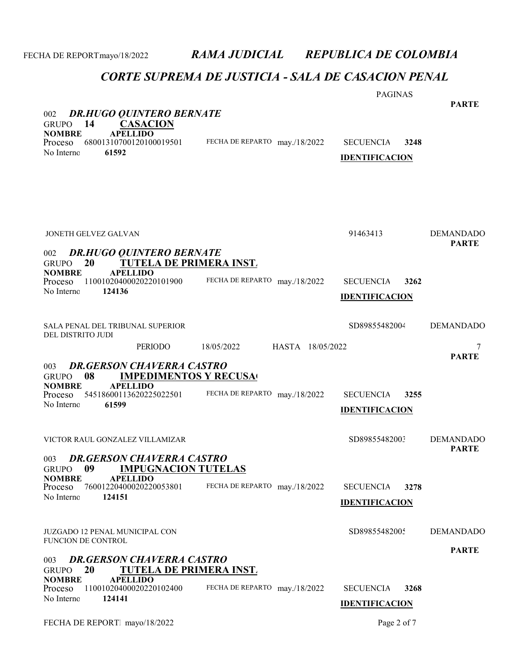| <b>DR.HUGO QUINTERO BERNATE</b><br>002                                                                                                                                                         |                                | <b>PAGINAS</b>                                    | <b>PARTE</b>                     |
|------------------------------------------------------------------------------------------------------------------------------------------------------------------------------------------------|--------------------------------|---------------------------------------------------|----------------------------------|
| 14<br><b>CASACION</b><br><b>GRUPO</b><br><b>NOMBRE</b><br><b>APELLIDO</b><br>68001310700120100019501<br>Proceso<br>61592<br>No Interno                                                         | FECHA DE REPARTO may./18/2022  | <b>SECUENCIA</b><br>3248<br><b>IDENTIFICACION</b> |                                  |
| <b>JONETH GELVEZ GALVAN</b><br><b>DR.HUGO QUINTERO BERNATE</b><br>002<br><b>TUTELA DE PRIMERA INST.</b><br>20<br><b>GRUPO</b>                                                                  |                                | 91463413                                          | <b>DEMANDADO</b><br><b>PARTE</b> |
| <b>NOMBRE</b><br><b>APELLIDO</b><br>11001020400020220101900<br>Proceso<br>No Interno<br>124136                                                                                                 | FECHA DE REPARTO may./18/2022  | <b>SECUENCIA</b><br>3262<br><b>IDENTIFICACION</b> |                                  |
| SALA PENAL DEL TRIBUNAL SUPERIOR<br>DEL DISTRITO JUDI                                                                                                                                          |                                | SD89855482004                                     | <b>DEMANDADO</b>                 |
| PERIODO                                                                                                                                                                                        | 18/05/2022<br>HASTA 18/05/2022 |                                                   | <b>PARTE</b>                     |
| <b>DR.GERSON CHAVERRA CASTRO</b><br>003<br>08<br><b>IMPEDIMENTOS Y RECUSA</b><br><b>GRUPO</b><br><b>APELLIDO</b><br><b>NOMBRE</b><br>54518600113620225022501<br>Proceso<br>61599<br>No Interno | FECHA DE REPARTO may./18/2022  | <b>SECUENCIA</b><br>3255<br><b>IDENTIFICACION</b> |                                  |
| VICTOR RAUL GONZALEZ VILLAMIZAR                                                                                                                                                                |                                | SD89855482003                                     | <b>DEMANDADO</b>                 |
| <b>DR.GERSON CHAVERRA CASTRO</b><br>003<br><b>IMPUGNACION TUTELAS</b><br><b>GRUPO</b><br>09<br><b>NOMBRE</b><br><b>APELLIDO</b><br>76001220400020220053801<br>Proceso<br>No Interno<br>124151  | FECHA DE REPARTO may./18/2022  | <b>SECUENCIA</b><br>3278<br><b>IDENTIFICACION</b> | <b>PARTE</b>                     |
| <b>JUZGADO 12 PENAL MUNICIPAL CON</b><br><b>FUNCION DE CONTROL</b>                                                                                                                             |                                | SD89855482005                                     | <b>DEMANDADO</b>                 |
| <b>DR.GERSON CHAVERRA CASTRO</b><br>003<br>20<br><b>TUTELA DE PRIMERA INST.</b><br><b>GRUPO</b>                                                                                                |                                |                                                   | <b>PARTE</b>                     |
| <b>NOMBRE</b><br><b>APELLIDO</b><br>11001020400020220102400<br>Proceso<br>No Interno<br>124141                                                                                                 | FECHA DE REPARTO may./18/2022  | <b>SECUENCIA</b><br>3268<br><b>IDENTIFICACION</b> |                                  |
| FECHA DE REPORT mayo/18/2022                                                                                                                                                                   |                                | Page 2 of 7                                       |                                  |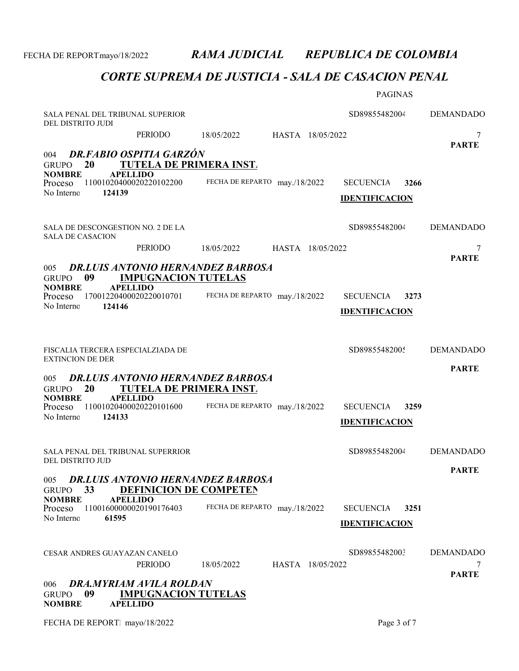|                                                                                                                            |                                | <b>PAGINAS</b>                                    |                   |
|----------------------------------------------------------------------------------------------------------------------------|--------------------------------|---------------------------------------------------|-------------------|
| SALA PENAL DEL TRIBUNAL SUPERIOR<br>DEL DISTRITO JUDI                                                                      |                                | SD89855482004                                     | <b>DEMANDADO</b>  |
| PERIODO                                                                                                                    | 18/05/2022<br>HASTA 18/05/2022 |                                                   | 7                 |
| DR.FABIO OSPITIA GARZÓN<br>004<br>20<br><b>TUTELA DE PRIMERA INST.</b><br><b>GRUPO</b><br><b>NOMBRE</b><br><b>APELLIDO</b> |                                |                                                   | <b>PARTE</b>      |
| 11001020400020220102200<br>Proceso<br>124139<br>No Interno                                                                 | FECHA DE REPARTO may./18/2022  | <b>SECUENCIA</b><br>3266<br><b>IDENTIFICACION</b> |                   |
| SALA DE DESCONGESTION NO. 2 DE LA<br><b>SALA DE CASACION</b>                                                               |                                | SD89855482004                                     | <b>DEMANDADO</b>  |
| PERIODO                                                                                                                    | 18/05/2022<br>HASTA 18/05/2022 |                                                   | 7                 |
| <b>DR.LUIS ANTONIO HERNANDEZ BARBOSA</b><br>005<br>09<br><b>IMPUGNACION TUTELAS</b><br><b>GRUPO</b>                        |                                |                                                   | <b>PARTE</b>      |
| <b>NOMBRE</b><br><b>APELLIDO</b><br>17001220400020220010701<br>Proceso                                                     | FECHA DE REPARTO may./18/2022  | 3273<br><b>SECUENCIA</b>                          |                   |
| 124146<br>No Interno                                                                                                       |                                | <b>IDENTIFICACION</b>                             |                   |
|                                                                                                                            |                                |                                                   |                   |
| FISCALIA TERCERA ESPECIALZIADA DE<br><b>EXTINCION DE DER</b>                                                               |                                | SD89855482005                                     | <b>DEMANDADO</b>  |
| <b>DR.LUIS ANTONIO HERNANDEZ BARBOSA</b><br>005                                                                            |                                |                                                   | <b>PARTE</b>      |
| 20<br><b>TUTELA DE PRIMERA INST.</b><br><b>GRUPO</b><br><b>NOMBRE</b><br><b>APELLIDO</b>                                   |                                |                                                   |                   |
| 11001020400020220101600<br>Proceso<br>124133<br>No Interno                                                                 | FECHA DE REPARTO may./18/2022  | <b>SECUENCIA</b><br>3259                          |                   |
|                                                                                                                            |                                | <b>IDENTIFICACION</b>                             |                   |
| SALA PENAL DEL TRIBUNAL SUPERRIOR                                                                                          |                                | SD89855482004                                     | <b>DEMANDADO</b>  |
| DEL DISTRITO JUD                                                                                                           |                                |                                                   | <b>PARTE</b>      |
| <b>DR.LUIS ANTONIO HERNANDEZ BARBOSA</b><br>005<br>33<br><b>DEFINICION DE COMPETEN</b><br><b>GRUPO</b>                     |                                |                                                   |                   |
| <b>NOMBRE</b><br><b>APELLIDO</b><br>11001600000020190176403<br>Proceso                                                     | FECHA DE REPARTO may./18/2022  | 3251<br><b>SECUENCIA</b>                          |                   |
| No Interno<br>61595                                                                                                        |                                | <b>IDENTIFICACION</b>                             |                   |
|                                                                                                                            |                                |                                                   |                   |
| <b>CESAR ANDRES GUAYAZAN CANELO</b>                                                                                        |                                | SD89855482003                                     | <b>DEMANDADO</b>  |
| PERIODO                                                                                                                    | HASTA 18/05/2022<br>18/05/2022 |                                                   | 7<br><b>PARTE</b> |
| DRA.MYRIAM AVILA ROLDAN<br>006<br>09<br><b>IMPUGNACION TUTELAS</b><br><b>GRUPO</b><br><b>APELLIDO</b><br><b>NOMBRE</b>     |                                |                                                   |                   |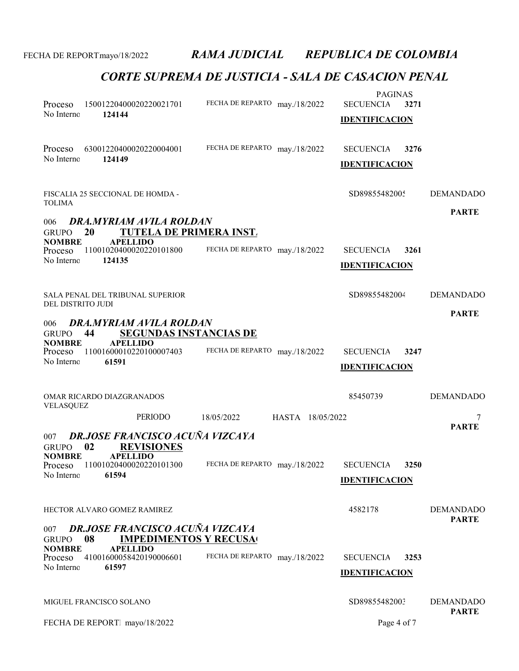| Proceso<br>No Interno                                                                               | 15001220400020220021701<br>124144                                           | FECHA DE REPARTO may./18/2022  | <b>PAGINAS</b><br><b>SECUENCIA</b><br>3271<br><b>IDENTIFICACION</b> |                                  |
|-----------------------------------------------------------------------------------------------------|-----------------------------------------------------------------------------|--------------------------------|---------------------------------------------------------------------|----------------------------------|
| Proceso<br>No Interno                                                                               | 63001220400020220004001<br>124149                                           | FECHA DE REPARTO may./18/2022  | <b>SECUENCIA</b><br>3276<br><b>IDENTIFICACION</b>                   |                                  |
| <b>TOLIMA</b>                                                                                       | FISCALIA 25 SECCIONAL DE HOMDA -                                            |                                | SD89855482005                                                       | <b>DEMANDADO</b>                 |
| 006                                                                                                 | <b>DRA.MYRIAM AVILA ROLDAN</b>                                              |                                |                                                                     | <b>PARTE</b>                     |
| <b>20</b><br><b>GRUPO</b>                                                                           | <b>TUTELA DE PRIMERA INST.</b>                                              |                                |                                                                     |                                  |
| <b>NOMBRE</b><br>Proceso                                                                            | <b>APELLIDO</b><br>11001020400020220101800                                  | FECHA DE REPARTO may./18/2022  | <b>SECUENCIA</b><br>3261                                            |                                  |
| No Interno                                                                                          | 124135                                                                      |                                | <b>IDENTIFICACION</b>                                               |                                  |
| DEL DISTRITO JUDI                                                                                   | SALA PENAL DEL TRIBUNAL SUPERIOR                                            |                                | SD89855482004                                                       | <b>DEMANDADO</b>                 |
| 006<br><b>GRUPO</b><br>44<br><b>NOMBRE</b>                                                          | DRA.MYRIAM AVILA ROLDAN<br><b>SEGUNDAS INSTANCIAS DE</b><br><b>APELLIDO</b> |                                |                                                                     | <b>PARTE</b>                     |
| Proceso<br>No Interno                                                                               | 11001600010220100007403<br>61591                                            | FECHA DE REPARTO may./18/2022  | <b>SECUENCIA</b><br>3247<br><b>IDENTIFICACION</b>                   |                                  |
| VELASQUEZ                                                                                           | OMAR RICARDO DIAZGRANADOS                                                   |                                | 85450739                                                            | <b>DEMANDADO</b>                 |
|                                                                                                     | <b>PERIODO</b>                                                              | 18/05/2022<br>HASTA 18/05/2022 |                                                                     | 7<br><b>PARTE</b>                |
| 007<br>02<br><b>GRUPO</b><br><b>NOMBRE</b>                                                          | DR.JOSE FRANCISCO ACUÑA VIZCAYA<br><b>REVISIONES</b><br><b>APELLIDO</b>     |                                |                                                                     |                                  |
| No Interno                                                                                          | Proceso 11001020400020220101300<br>61594                                    | FECHA DE REPARTO may./18/2022  | <b>SECUENCIA</b><br>3250<br><b>IDENTIFICACION</b>                   |                                  |
|                                                                                                     | HECTOR ALVARO GOMEZ RAMIREZ                                                 |                                | 4582178                                                             | <b>DEMANDADO</b><br><b>PARTE</b> |
| <b>DR.JOSE FRANCISCO ACUÑA VIZCAYA</b><br>007<br>08<br><b>IMPEDIMENTOS Y RECUSA</b><br><b>GRUPO</b> |                                                                             |                                |                                                                     |                                  |
| <b>NOMBRE</b><br>Proceso                                                                            | <b>APELLIDO</b><br>41001600058420190006601                                  | FECHA DE REPARTO may./18/2022  | <b>SECUENCIA</b><br>3253                                            |                                  |
| No Interno                                                                                          | 61597                                                                       |                                | <b>IDENTIFICACION</b>                                               |                                  |
| MIGUEL FRANCISCO SOLANO                                                                             |                                                                             |                                | SD89855482003                                                       | <b>DEMANDADO</b><br><b>PARTE</b> |
|                                                                                                     | FECHA DE REPORT mayo/18/2022                                                |                                | Page 4 of 7                                                         |                                  |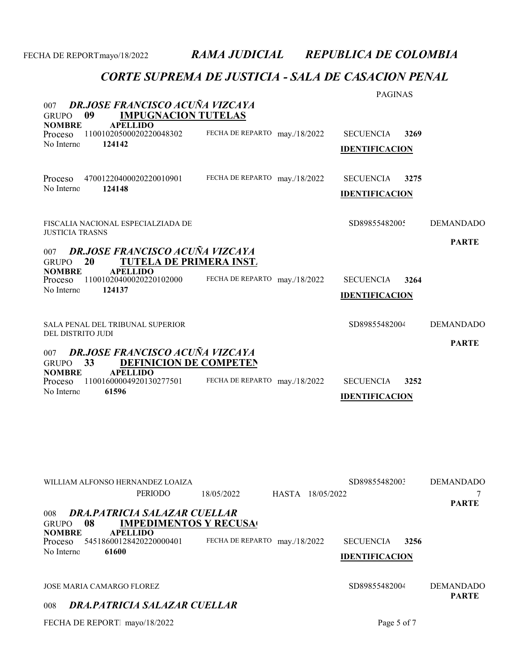### CORTE SUPREMA DE JUSTICIA - SALA DE CASACION PENAL

| <b>DR.JOSE FRANCISCO ACUÑA VIZCAYA</b><br>007<br><b>IMPUGNACION TUTELAS</b><br>09<br><b>GRUPO</b>                                                                                                     |                                  | <b>PAGINAS</b>                                    |                                  |  |
|-------------------------------------------------------------------------------------------------------------------------------------------------------------------------------------------------------|----------------------------------|---------------------------------------------------|----------------------------------|--|
| <b>NOMBRE</b><br><b>APELLIDO</b><br>11001020500020220048302<br>Proceso<br>No Interno<br>124142                                                                                                        | FECHA DE REPARTO may./18/2022    | <b>SECUENCIA</b><br>3269<br><b>IDENTIFICACION</b> |                                  |  |
| Proceso<br>47001220400020220010901<br>No Interno<br>124148                                                                                                                                            | FECHA DE REPARTO may./18/2022    | <b>SECUENCIA</b><br>3275<br><b>IDENTIFICACION</b> |                                  |  |
| FISCALIA NACIONAL ESPECIALZIADA DE<br><b>JUSTICIA TRASNS</b>                                                                                                                                          |                                  | SD89855482005                                     | <b>DEMANDADO</b>                 |  |
| <b>DR.JOSE FRANCISCO ACUÑA VIZCAYA</b><br>007<br>TUTELA DE PRIMERA INST.<br>20<br><b>GRUPO</b>                                                                                                        |                                  |                                                   | <b>PARTE</b>                     |  |
| <b>APELLIDO</b><br><b>NOMBRE</b><br>11001020400020220102000<br>Proceso<br>No Interno<br>124137                                                                                                        | FECHA DE REPARTO may./18/2022    | <b>SECUENCIA</b><br>3264<br><b>IDENTIFICACION</b> |                                  |  |
| SALA PENAL DEL TRIBUNAL SUPERIOR<br>DEL DISTRITO JUDI                                                                                                                                                 |                                  | SD89855482004                                     | <b>DEMANDADO</b>                 |  |
| <b>DR.JOSE FRANCISCO ACUÑA VIZCAYA</b><br>007<br>33<br><b>DEFINICION DE COMPETEN</b><br><b>GRUPO</b><br><b>APELLIDO</b><br><b>NOMBRE</b><br>11001600004920130277501<br>Proceso<br>No Interno<br>61596 | FECHA DE REPARTO may./18/2022    | <b>SECUENCIA</b><br>3252<br><b>IDENTIFICACION</b> | <b>PARTE</b>                     |  |
| WILLIAM ALFONSO HERNANDEZ LOAIZA<br><b>PERIODO</b>                                                                                                                                                    | HASTA 18/05/2022<br>18/05/2022   | SD89855482003                                     | <b>DEMANDADO</b>                 |  |
| DRA, PATRICIA SALAZAR CUELLAR<br>008<br>08<br><b>IMPEDIMENTOS Y RECUSA</b><br><b>GRUPO</b><br><b>APELLIDO</b><br><b>NOMBRE</b><br>54518600128420220000401<br>Proceso<br>61600<br>No Interno           | FECHA DE REPARTO<br>may./18/2022 | <b>SECUENCIA</b><br>3256<br><b>IDENTIFICACION</b> | <b>PARTE</b>                     |  |
| JOSE MARIA CAMARGO FLOREZ                                                                                                                                                                             |                                  | SD89855482004                                     | <b>DEMANDADO</b><br><b>PARTE</b> |  |
| DRA, PATRICIA SALAZAR CUELLAR<br>008                                                                                                                                                                  |                                  |                                                   |                                  |  |

FECHA DE REPORT. mayo/18/2022 Page 5 of 7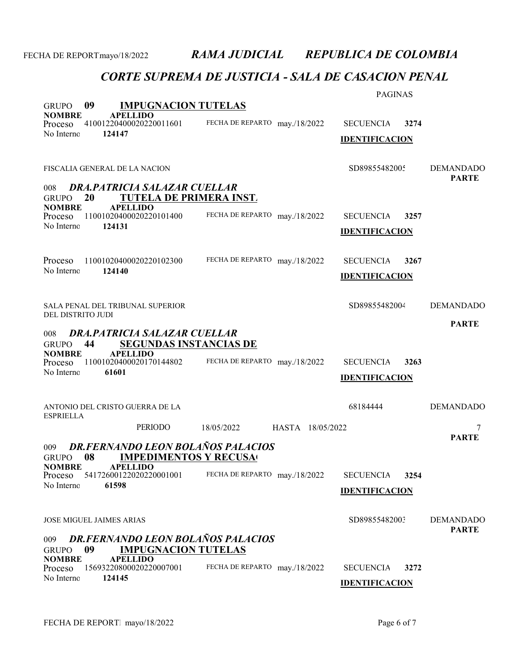| 09<br><b>IMPUGNACION TUTELAS</b><br><b>GRUPO</b>                                                                    |                                | <b>PAGINAS</b>                                    |                                  |  |
|---------------------------------------------------------------------------------------------------------------------|--------------------------------|---------------------------------------------------|----------------------------------|--|
| <b>APELLIDO</b><br><b>NOMBRE</b><br>41001220400020220011601<br>Proceso                                              | FECHA DE REPARTO may./18/2022  | <b>SECUENCIA</b><br>3274                          |                                  |  |
| No Interno<br>124147                                                                                                |                                | <b>IDENTIFICACION</b>                             |                                  |  |
| FISCALIA GENERAL DE LA NACION                                                                                       |                                | SD89855482005                                     | <b>DEMANDADO</b><br><b>PARTE</b> |  |
| DRA, PATRICIA SALAZAR CUELLAR<br>008<br>TUTELA DE PRIMERA INST.<br><b>20</b><br><b>GRUPO</b>                        |                                |                                                   |                                  |  |
| <b>NOMBRE</b><br><b>APELLIDO</b><br>11001020400020220101400<br>Proceso<br>No Interno<br>124131                      | FECHA DE REPARTO may./18/2022  | <b>SECUENCIA</b><br>3257                          |                                  |  |
|                                                                                                                     |                                | <b>IDENTIFICACION</b>                             |                                  |  |
| 11001020400020220102300<br>Proceso                                                                                  | FECHA DE REPARTO may./18/2022  | <b>SECUENCIA</b><br>3267                          |                                  |  |
| No Interno<br>124140                                                                                                |                                | <b>IDENTIFICACION</b>                             |                                  |  |
| <b>SALA PENAL DEL TRIBUNAL SUPERIOR</b><br>DEL DISTRITO JUDI                                                        |                                | SD89855482004                                     | <b>DEMANDADO</b>                 |  |
| DRA, PATRICIA SALAZAR CUELLAR<br>008                                                                                |                                |                                                   | <b>PARTE</b>                     |  |
| 44<br><b>SEGUNDAS INSTANCIAS DE</b><br><b>GRUPO</b><br><b>NOMBRE</b><br><b>APELLIDO</b>                             |                                |                                                   |                                  |  |
| 11001020400020170144802<br>Proceso<br>No Interno<br>61601                                                           | FECHA DE REPARTO may./18/2022  | <b>SECUENCIA</b><br>3263<br><b>IDENTIFICACION</b> |                                  |  |
|                                                                                                                     |                                |                                                   |                                  |  |
| ANTONIO DEL CRISTO GUERRA DE LA<br><b>ESPRIELLA</b>                                                                 |                                | 68184444                                          | <b>DEMANDADO</b>                 |  |
| <b>PERIODO</b>                                                                                                      | 18/05/2022<br>HASTA 18/05/2022 |                                                   | 7<br><b>PARTE</b>                |  |
| <b>DR.FERNANDO LEON BOLAÑOS PALACIOS</b><br>009<br>08<br><b>IMPEDIMENTOS Y RECUSA</b><br><b>GRUPO</b>               |                                |                                                   |                                  |  |
| <b>APELLIDO</b><br><b>NOMBRE</b><br>54172600122020220001001<br>Proceso<br>No Interno<br>61598                       | FECHA DE REPARTO may./18/2022  | <b>SECUENCIA</b><br>3254                          |                                  |  |
|                                                                                                                     |                                | <b>IDENTIFICACION</b>                             |                                  |  |
| JOSE MIGUEL JAIMES ARIAS                                                                                            |                                | SD89855482003                                     | <b>DEMANDADO</b>                 |  |
| <b>PARTE</b><br><b>DR.FERNANDO LEON BOLAÑOS PALACIOS</b><br>009<br><b>IMPUGNACION TUTELAS</b><br>09<br><b>GRUPO</b> |                                |                                                   |                                  |  |
| <b>APELLIDO</b><br><b>NOMBRE</b><br>15693220800020220007001<br>Proceso                                              | FECHA DE REPARTO may./18/2022  | <b>SECUENCIA</b><br>3272                          |                                  |  |
| No Interno<br>124145                                                                                                |                                | <b>IDENTIFICACION</b>                             |                                  |  |